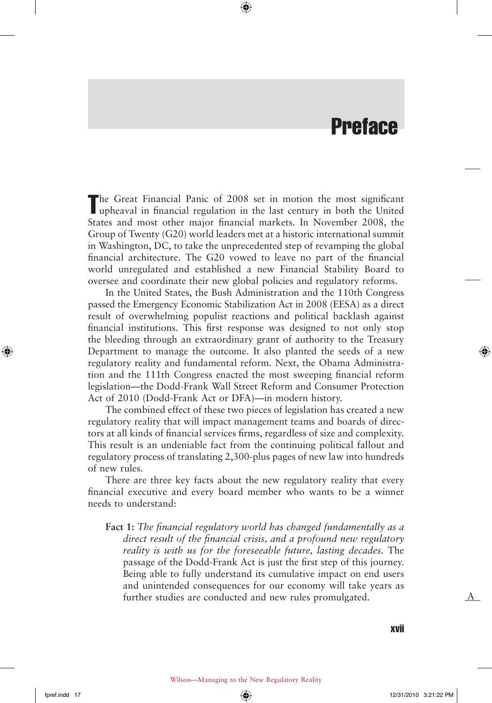# Preface

The Great Financial Panic of 2008 set in motion the most significant upheaval in financial regulation in the last century in both the United he Great Financial Panic of 2008 set in motion the most significant States and most other major financial markets. In November 2008, the Group of Twenty (G20) world leaders met at a historic international summit in Washington, DC, to take the unprecedented step of revamping the global financial architecture. The G20 vowed to leave no part of the financial world unregulated and established a new Financial Stability Board to oversee and coordinate their new global policies and regulatory reforms.

⊕

In the United States, the Bush Administration and the 110th Congress passed the Emergency Economic Stabilization Act in 2008 (EESA) as a direct result of overwhelming populist reactions and political backlash against financial institutions. This first response was designed to not only stop the bleeding through an extraordinary grant of authority to the Treasury Department to manage the outcome. It also planted the seeds of a new regulatory reality and fundamental reform. Next, the Obama Administration and the 111th Congress enacted the most sweeping financial reform legislation—the Dodd-Frank Wall Street Reform and Consumer Protection Act of 2010 (Dodd-Frank Act or DFA)—in modern history.

The combined effect of these two pieces of legislation has created a new regulatory reality that will impact management teams and boards of directors at all kinds of financial services firms, regardless of size and complexity. This result is an undeniable fact from the continuing political fallout and regulatory process of translating 2,300-plus pages of new law into hundreds of new rules.

There are three key facts about the new regulatory reality that every financial executive and every board member who wants to be a winner needs to understand:

**Fact 1:** *The financial regulatory world has changed fundamentally as a direct result of the financial crisis, and a profound new regulatory reality is with us for the foreseeable future, lasting decades.* The passage of the Dodd-Frank Act is just the first step of this journey. Being able to fully understand its cumulative impact on end users and unintended consequences for our economy will take years as further studies are conducted and new rules promulgated.

xvii

⊕

 $\mathbf{A}$ 

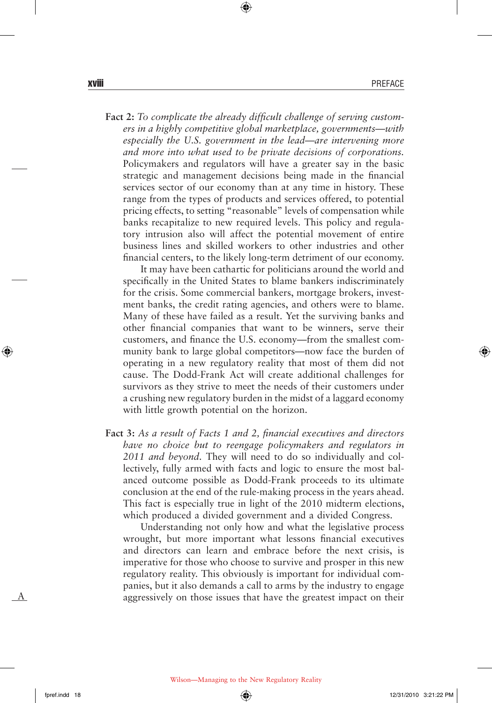## xviii Preface

**Fact 2:** *To complicate the already difficult challenge of serving customers in a highly competitive global marketplace, governments—with especially the U.S. government in the lead—are intervening more and more into what used to be private decisions of corporations.* Policymakers and regulators will have a greater say in the basic strategic and management decisions being made in the financial services sector of our economy than at any time in history. These range from the types of products and services offered, to potential pricing effects, to setting "reasonable" levels of compensation while banks recapitalize to new required levels. This policy and regulatory intrusion also will affect the potential movement of entire business lines and skilled workers to other industries and other financial centers, to the likely long-term detriment of our economy.

⊕

It may have been cathartic for politicians around the world and specifically in the United States to blame bankers indiscriminately for the crisis. Some commercial bankers, mortgage brokers, investment banks, the credit rating agencies, and others were to blame. Many of these have failed as a result. Yet the surviving banks and other financial companies that want to be winners, serve their customers, and finance the U.S. economy—from the smallest community bank to large global competitors—now face the burden of operating in a new regulatory reality that most of them did not cause. The Dodd-Frank Act will create additional challenges for survivors as they strive to meet the needs of their customers under a crushing new regulatory burden in the midst of a laggard economy with little growth potential on the horizon.

**Fact 3:** *As a result of Facts 1 and 2, financial executives and directors have no choice but to reengage policymakers and regulators in 2011 and beyond.* They will need to do so individually and collectively, fully armed with facts and logic to ensure the most balanced outcome possible as Dodd-Frank proceeds to its ultimate conclusion at the end of the rule-making process in the years ahead. This fact is especially true in light of the 2010 midterm elections, which produced a divided government and a divided Congress.

Understanding not only how and what the legislative process wrought, but more important what lessons financial executives and directors can learn and embrace before the next crisis, is imperative for those who choose to survive and prosper in this new regulatory reality. This obviously is important for individual companies, but it also demands a call to arms by the industry to engage aggressively on those issues that have the greatest impact on their

A

⊕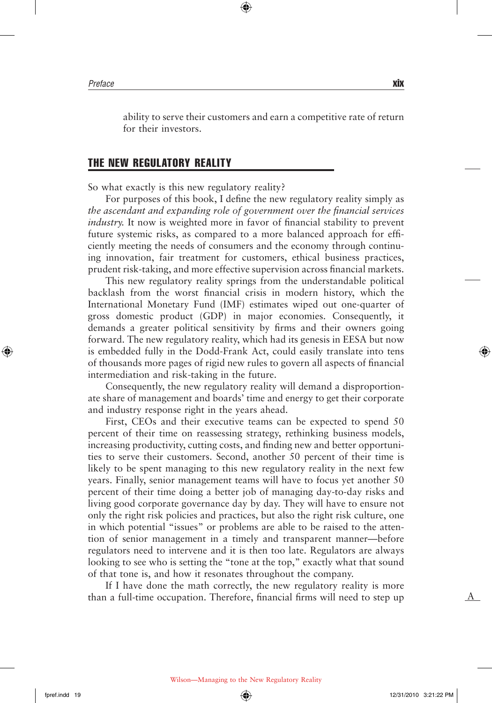ability to serve their customers and earn a competitive rate of return for their investors.

⊕

## The New Regulatory Reality

So what exactly is this new regulatory reality?

For purposes of this book, I define the new regulatory reality simply as *the ascendant and expanding role of government over the financial services industry.* It now is weighted more in favor of financial stability to prevent future systemic risks, as compared to a more balanced approach for efficiently meeting the needs of consumers and the economy through continuing innovation, fair treatment for customers, ethical business practices, prudent risk-taking, and more effective supervision across financial markets.

This new regulatory reality springs from the understandable political backlash from the worst financial crisis in modern history, which the International Monetary Fund (IMF) estimates wiped out one-quarter of gross domestic product (GDP) in major economies. Consequently, it demands a greater political sensitivity by firms and their owners going forward. The new regulatory reality, which had its genesis in EESA but now is embedded fully in the Dodd-Frank Act, could easily translate into tens of thousands more pages of rigid new rules to govern all aspects of financial intermediation and risk-taking in the future.

Consequently, the new regulatory reality will demand a disproportionate share of management and boards' time and energy to get their corporate and industry response right in the years ahead.

First, CEOs and their executive teams can be expected to spend 50 percent of their time on reassessing strategy, rethinking business models, increasing productivity, cutting costs, and finding new and better opportunities to serve their customers. Second, another 50 percent of their time is likely to be spent managing to this new regulatory reality in the next few years. Finally, senior management teams will have to focus yet another 50 percent of their time doing a better job of managing day-to-day risks and living good corporate governance day by day. They will have to ensure not only the right risk policies and practices, but also the right risk culture, one in which potential "issues" or problems are able to be raised to the attention of senior management in a timely and transparent manner—before regulators need to intervene and it is then too late. Regulators are always looking to see who is setting the "tone at the top," exactly what that sound of that tone is, and how it resonates throughout the company.

If I have done the math correctly, the new regulatory reality is more than a full-time occupation. Therefore, financial firms will need to step up

⊕

 $\mathbf{A}$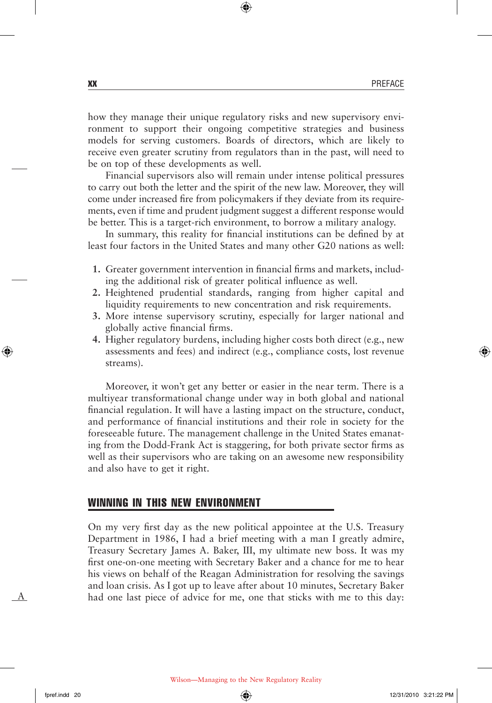how they manage their unique regulatory risks and new supervisory environment to support their ongoing competitive strategies and business models for serving customers. Boards of directors, which are likely to receive even greater scrutiny from regulators than in the past, will need to be on top of these developments as well.

⊕

Financial supervisors also will remain under intense political pressures to carry out both the letter and the spirit of the new law. Moreover, they will come under increased fire from policymakers if they deviate from its requirements, even if time and prudent judgment suggest a different response would be better. This is a target-rich environment, to borrow a military analogy.

In summary, this reality for financial institutions can be defined by at least four factors in the United States and many other G20 nations as well:

- **1.** Greater government intervention in financial firms and markets, including the additional risk of greater political influence as well.
- **2.** Heightened prudential standards, ranging from higher capital and liquidity requirements to new concentration and risk requirements.
- **3.** More intense supervisory scrutiny, especially for larger national and globally active financial firms.
- **4.** Higher regulatory burdens, including higher costs both direct (e.g., new assessments and fees) and indirect (e.g., compliance costs, lost revenue streams).

Moreover, it won't get any better or easier in the near term. There is a multiyear transformational change under way in both global and national financial regulation. It will have a lasting impact on the structure, conduct, and performance of financial institutions and their role in society for the foreseeable future. The management challenge in the United States emanating from the Dodd-Frank Act is staggering, for both private sector firms as well as their supervisors who are taking on an awesome new responsibility and also have to get it right.

#### Winning in This New Environment

On my very first day as the new political appointee at the U.S. Treasury Department in 1986, I had a brief meeting with a man I greatly admire, Treasury Secretary James A. Baker, III, my ultimate new boss. It was my first one-on-one meeting with Secretary Baker and a chance for me to hear his views on behalf of the Reagan Administration for resolving the savings and loan crisis. As I got up to leave after about 10 minutes, Secretary Baker had one last piece of advice for me, one that sticks with me to this day:

A

⊕

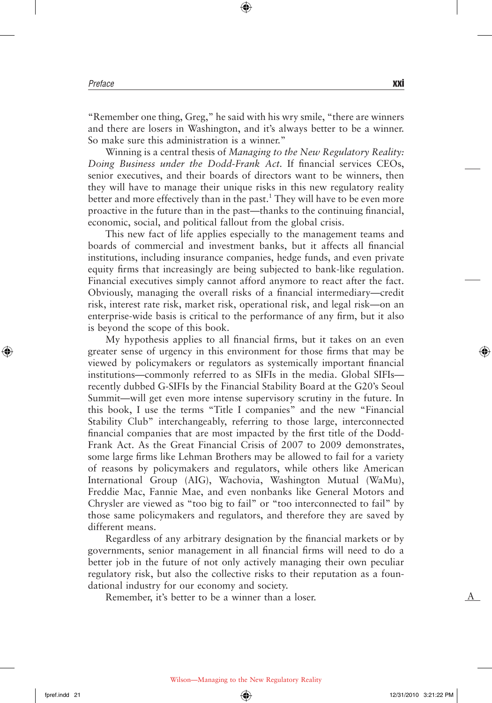## *Preface* xxi

"Remember one thing, Greg," he said with his wry smile, "there are winners and there are losers in Washington, and it's always better to be a winner. So make sure this administration is a winner."

⊕

Winning is a central thesis of *Managing to the New Regulatory Reality: Doing Business under the Dodd-Frank Act.* If financial services CEOs, senior executives, and their boards of directors want to be winners, then they will have to manage their unique risks in this new regulatory reality better and more effectively than in the past.<sup>1</sup> They will have to be even more proactive in the future than in the past—thanks to the continuing financial, economic, social, and political fallout from the global crisis.

This new fact of life applies especially to the management teams and boards of commercial and investment banks, but it affects all financial institutions, including insurance companies, hedge funds, and even private equity firms that increasingly are being subjected to bank-like regulation. Financial executives simply cannot afford anymore to react after the fact. Obviously, managing the overall risks of a financial intermediary—credit risk, interest rate risk, market risk, operational risk, and legal risk—on an enterprise-wide basis is critical to the performance of any firm, but it also is beyond the scope of this book.

My hypothesis applies to all financial firms, but it takes on an even greater sense of urgency in this environment for those firms that may be viewed by policymakers or regulators as systemically important financial institutions—commonly referred to as SIFIs in the media. Global SIFIs recently dubbed G-SIFIs by the Financial Stability Board at the G20's Seoul Summit—will get even more intense supervisory scrutiny in the future. In this book, I use the terms "Title I companies" and the new "Financial Stability Club" interchangeably, referring to those large, interconnected financial companies that are most impacted by the first title of the Dodd-Frank Act. As the Great Financial Crisis of 2007 to 2009 demonstrates, some large firms like Lehman Brothers may be allowed to fail for a variety of reasons by policymakers and regulators, while others like American International Group (AIG), Wachovia, Washington Mutual (WaMu), Freddie Mac, Fannie Mae, and even nonbanks like General Motors and Chrysler are viewed as "too big to fail" or "too interconnected to fail" by those same policymakers and regulators, and therefore they are saved by different means.

Regardless of any arbitrary designation by the financial markets or by governments, senior management in all financial firms will need to do a better job in the future of not only actively managing their own peculiar regulatory risk, but also the collective risks to their reputation as a foundational industry for our economy and society.

Remember, it's better to be a winner than a loser.

⊕

 $\mathbf{A}$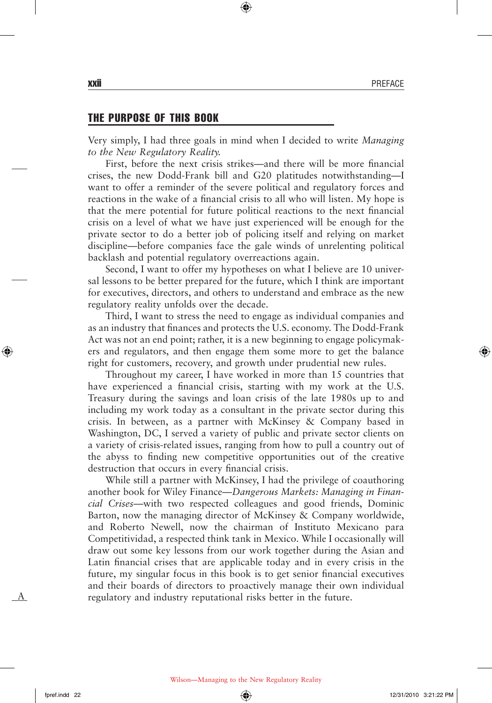#### The Purpose of This Book

Very simply, I had three goals in mind when I decided to write *Managing to the New Regulatory Reality.*

⊕

First, before the next crisis strikes—and there will be more financial crises, the new Dodd-Frank bill and G20 platitudes notwithstanding—I want to offer a reminder of the severe political and regulatory forces and reactions in the wake of a financial crisis to all who will listen. My hope is that the mere potential for future political reactions to the next financial crisis on a level of what we have just experienced will be enough for the private sector to do a better job of policing itself and relying on market discipline—before companies face the gale winds of unrelenting political backlash and potential regulatory overreactions again.

Second, I want to offer my hypotheses on what I believe are 10 universal lessons to be better prepared for the future, which I think are important for executives, directors, and others to understand and embrace as the new regulatory reality unfolds over the decade.

Third, I want to stress the need to engage as individual companies and as an industry that finances and protects the U.S. economy. The Dodd-Frank Act was not an end point; rather, it is a new beginning to engage policymakers and regulators, and then engage them some more to get the balance right for customers, recovery, and growth under prudential new rules.

Throughout my career, I have worked in more than 15 countries that have experienced a financial crisis, starting with my work at the U.S. Treasury during the savings and loan crisis of the late 1980s up to and including my work today as a consultant in the private sector during this crisis. In between, as a partner with McKinsey & Company based in Washington, DC, I served a variety of public and private sector clients on a variety of crisis-related issues, ranging from how to pull a country out of the abyss to finding new competitive opportunities out of the creative destruction that occurs in every financial crisis.

While still a partner with McKinsey, I had the privilege of coauthoring another book for Wiley Finance—*Dangerous Markets: Managing in Financial Crises—*with two respected colleagues and good friends, Dominic Barton, now the managing director of McKinsey & Company worldwide, and Roberto Newell, now the chairman of Instituto Mexicano para Competitividad, a respected think tank in Mexico. While I occasionally will draw out some key lessons from our work together during the Asian and Latin financial crises that are applicable today and in every crisis in the future, my singular focus in this book is to get senior financial executives and their boards of directors to proactively manage their own individual regulatory and industry reputational risks better in the future.

A

⊕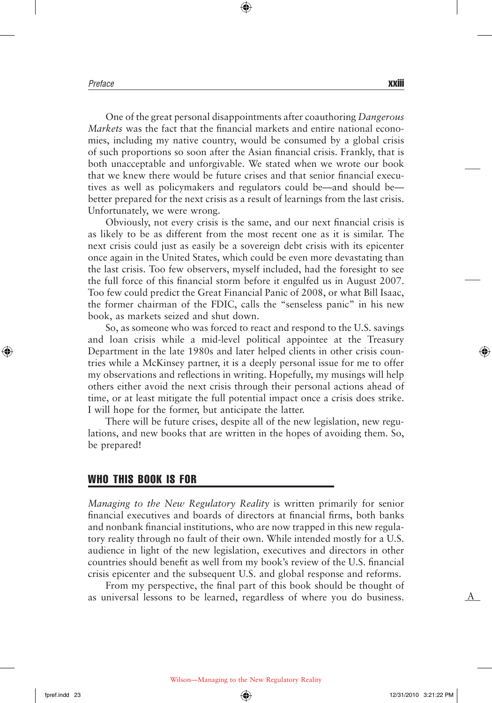## *Preface* xxiii

One of the great personal disappointments after coauthoring *Dangerous Markets* was the fact that the financial markets and entire national economies, including my native country, would be consumed by a global crisis of such proportions so soon after the Asian financial crisis. Frankly, that is both unacceptable and unforgivable. We stated when we wrote our book that we knew there would be future crises and that senior financial executives as well as policymakers and regulators could be—and should be better prepared for the next crisis as a result of learnings from the last crisis. Unfortunately, we were wrong.

⊕

Obviously, not every crisis is the same, and our next financial crisis is as likely to be as different from the most recent one as it is similar. The next crisis could just as easily be a sovereign debt crisis with its epicenter once again in the United States, which could be even more devastating than the last crisis. Too few observers, myself included, had the foresight to see the full force of this financial storm before it engulfed us in August 2007. Too few could predict the Great Financial Panic of 2008, or what Bill Isaac, the former chairman of the FDIC, calls the "senseless panic" in his new book, as markets seized and shut down.

So, as someone who was forced to react and respond to the U.S. savings and loan crisis while a mid-level political appointee at the Treasury Department in the late 1980s and later helped clients in other crisis countries while a McKinsey partner, it is a deeply personal issue for me to offer my observations and reflections in writing. Hopefully, my musings will help others either avoid the next crisis through their personal actions ahead of time, or at least mitigate the full potential impact once a crisis does strike. I will hope for the former, but anticipate the latter.

There will be future crises, despite all of the new legislation, new regulations, and new books that are written in the hopes of avoiding them. So, be prepared!

## Who This Book Is For

*Managing to the New Regulatory Reality* is written primarily for senior financial executives and boards of directors at financial firms, both banks and nonbank financial institutions, who are now trapped in this new regulatory reality through no fault of their own. While intended mostly for a U.S. audience in light of the new legislation, executives and directors in other countries should benefit as well from my book's review of the U.S. financial crisis epicenter and the subsequent U.S. and global response and reforms.

From my perspective, the final part of this book should be thought of as universal lessons to be learned, regardless of where you do business.

⊕

 $\mathbf{A}$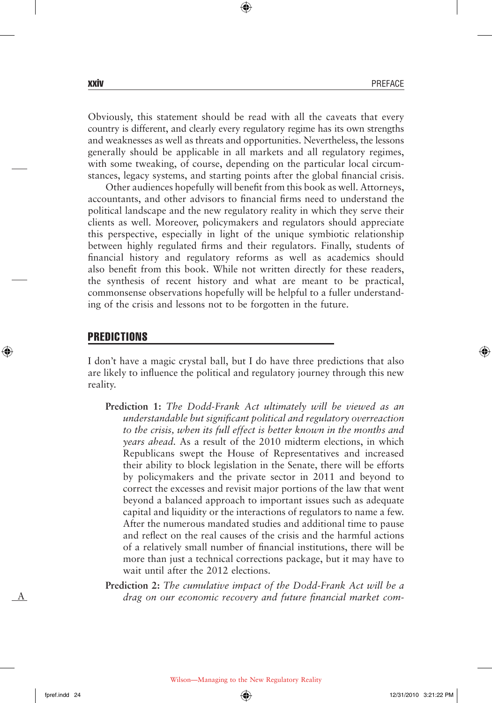Obviously, this statement should be read with all the caveats that every country is different, and clearly every regulatory regime has its own strengths and weaknesses as well as threats and opportunities. Nevertheless, the lessons generally should be applicable in all markets and all regulatory regimes, with some tweaking, of course, depending on the particular local circumstances, legacy systems, and starting points after the global financial crisis.

 $\textcircled{\scriptsize{+}}$ 

Other audiences hopefully will benefit from this book as well. Attorneys, accountants, and other advisors to financial firms need to understand the political landscape and the new regulatory reality in which they serve their clients as well. Moreover, policymakers and regulators should appreciate this perspective, especially in light of the unique symbiotic relationship between highly regulated firms and their regulators. Finally, students of financial history and regulatory reforms as well as academics should also benefit from this book. While not written directly for these readers, the synthesis of recent history and what are meant to be practical, commonsense observations hopefully will be helpful to a fuller understanding of the crisis and lessons not to be forgotten in the future.

#### **PREDICTIONS**

I don't have a magic crystal ball, but I do have three predictions that also are likely to influence the political and regulatory journey through this new reality.

- **Prediction 1:** *The Dodd-Frank Act ultimately will be viewed as an understandable but significant political and regulatory overreaction to the crisis, when its full effect is better known in the months and years ahead.* As a result of the 2010 midterm elections, in which Republicans swept the House of Representatives and increased their ability to block legislation in the Senate, there will be efforts by policymakers and the private sector in 2011 and beyond to correct the excesses and revisit major portions of the law that went beyond a balanced approach to important issues such as adequate capital and liquidity or the interactions of regulators to name a few. After the numerous mandated studies and additional time to pause and reflect on the real causes of the crisis and the harmful actions of a relatively small number of financial institutions, there will be more than just a technical corrections package, but it may have to wait until after the 2012 elections.
- **Prediction 2:** *The cumulative impact of the Dodd-Frank Act will be a drag on our economic recovery and future financial market com-*

A

⊕

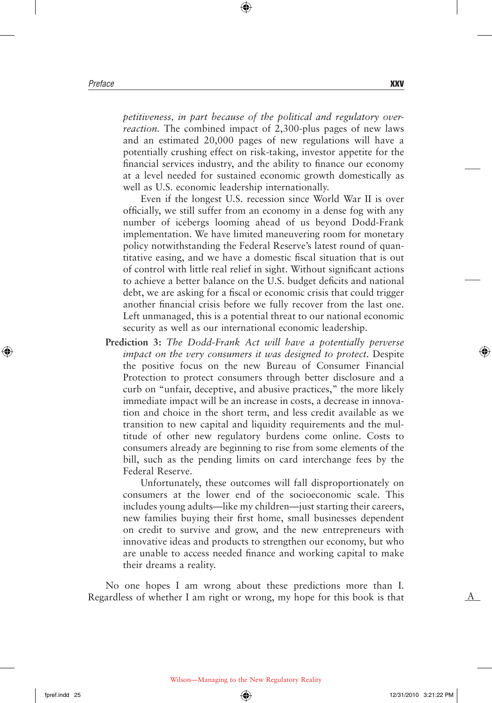## *Preface* xxv

*petitiveness, in part because of the political and regulatory overreaction.* The combined impact of 2,300-plus pages of new laws and an estimated 20,000 pages of new regulations will have a potentially crushing effect on risk-taking, investor appetite for the financial services industry, and the ability to finance our economy at a level needed for sustained economic growth domestically as well as U.S. economic leadership internationally.

⊕

Even if the longest U.S. recession since World War II is over officially, we still suffer from an economy in a dense fog with any number of icebergs looming ahead of us beyond Dodd-Frank implementation. We have limited maneuvering room for monetary policy notwithstanding the Federal Reserve's latest round of quantitative easing, and we have a domestic fiscal situation that is out of control with little real relief in sight. Without significant actions to achieve a better balance on the U.S. budget deficits and national debt, we are asking for a fiscal or economic crisis that could trigger another financial crisis before we fully recover from the last one. Left unmanaged, this is a potential threat to our national economic security as well as our international economic leadership.

**Prediction 3:** *The Dodd-Frank Act will have a potentially perverse impact on the very consumers it was designed to protect.* Despite the positive focus on the new Bureau of Consumer Financial Protection to protect consumers through better disclosure and a curb on "unfair, deceptive, and abusive practices," the more likely immediate impact will be an increase in costs, a decrease in innovation and choice in the short term, and less credit available as we transition to new capital and liquidity requirements and the multitude of other new regulatory burdens come online. Costs to consumers already are beginning to rise from some elements of the bill, such as the pending limits on card interchange fees by the Federal Reserve.

Unfortunately, these outcomes will fall disproportionately on consumers at the lower end of the socioeconomic scale. This includes young adults—like my children—just starting their careers, new families buying their first home, small businesses dependent on credit to survive and grow, and the new entrepreneurs with innovative ideas and products to strengthen our economy, but who are unable to access needed finance and working capital to make their dreams a reality.

No one hopes I am wrong about these predictions more than I. Regardless of whether I am right or wrong, my hope for this book is that

⊕

 $\mathbf{A}$ 

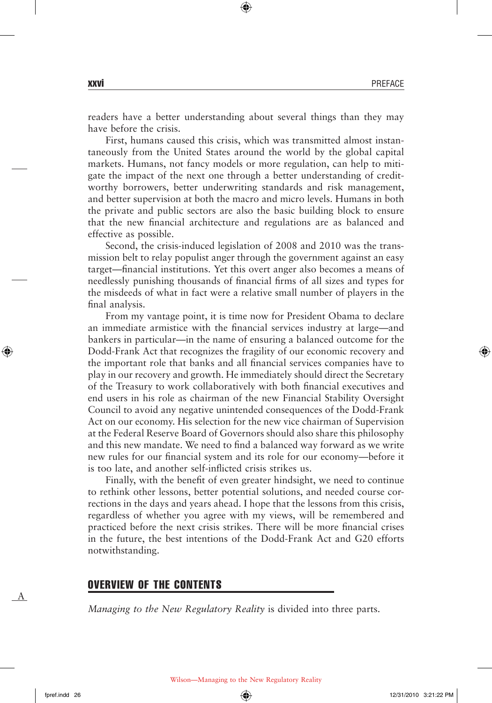readers have a better understanding about several things than they may have before the crisis.

⊕

First, humans caused this crisis, which was transmitted almost instantaneously from the United States around the world by the global capital markets. Humans, not fancy models or more regulation, can help to mitigate the impact of the next one through a better understanding of creditworthy borrowers, better underwriting standards and risk management, and better supervision at both the macro and micro levels. Humans in both the private and public sectors are also the basic building block to ensure that the new financial architecture and regulations are as balanced and effective as possible.

Second, the crisis-induced legislation of 2008 and 2010 was the transmission belt to relay populist anger through the government against an easy target—financial institutions. Yet this overt anger also becomes a means of needlessly punishing thousands of financial firms of all sizes and types for the misdeeds of what in fact were a relative small number of players in the final analysis.

From my vantage point, it is time now for President Obama to declare an immediate armistice with the financial services industry at large—and bankers in particular—in the name of ensuring a balanced outcome for the Dodd-Frank Act that recognizes the fragility of our economic recovery and the important role that banks and all financial services companies have to play in our recovery and growth. He immediately should direct the Secretary of the Treasury to work collaboratively with both financial executives and end users in his role as chairman of the new Financial Stability Oversight Council to avoid any negative unintended consequences of the Dodd-Frank Act on our economy. His selection for the new vice chairman of Supervision at the Federal Reserve Board of Governors should also share this philosophy and this new mandate. We need to find a balanced way forward as we write new rules for our financial system and its role for our economy—before it is too late, and another self-inflicted crisis strikes us.

Finally, with the benefit of even greater hindsight, we need to continue to rethink other lessons, better potential solutions, and needed course corrections in the days and years ahead. I hope that the lessons from this crisis, regardless of whether you agree with my views, will be remembered and practiced before the next crisis strikes. There will be more financial crises in the future, the best intentions of the Dodd-Frank Act and G20 efforts notwithstanding.

#### Overview of the Contents

*Managing to the New Regulatory Reality* is divided into three parts.

A

⊕

↔

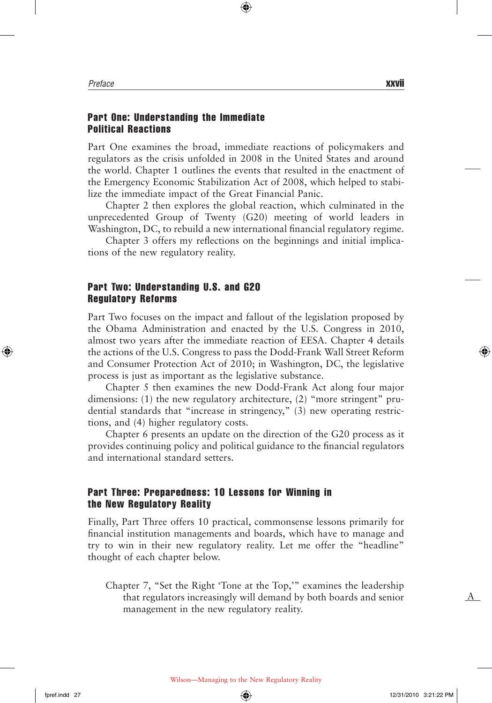## *Preface* xxviii

## Part One: Understanding the Immediate Political Reactions

Part One examines the broad, immediate reactions of policymakers and regulators as the crisis unfolded in 2008 in the United States and around the world. Chapter 1 outlines the events that resulted in the enactment of the Emergency Economic Stabilization Act of 2008, which helped to stabilize the immediate impact of the Great Financial Panic.

⊕

Chapter 2 then explores the global reaction, which culminated in the unprecedented Group of Twenty (G20) meeting of world leaders in Washington, DC, to rebuild a new international financial regulatory regime.

Chapter 3 offers my reflections on the beginnings and initial implications of the new regulatory reality.

## Part Two: Understanding U.S. and G20 Regulatory Reforms

Part Two focuses on the impact and fallout of the legislation proposed by the Obama Administration and enacted by the U.S. Congress in 2010, almost two years after the immediate reaction of EESA. Chapter 4 details the actions of the U.S. Congress to pass the Dodd-Frank Wall Street Reform and Consumer Protection Act of 2010; in Washington, DC, the legislative process is just as important as the legislative substance.

Chapter 5 then examines the new Dodd-Frank Act along four major dimensions: (1) the new regulatory architecture, (2) "more stringent" prudential standards that "increase in stringency," (3) new operating restrictions, and (4) higher regulatory costs.

Chapter 6 presents an update on the direction of the G20 process as it provides continuing policy and political guidance to the financial regulators and international standard setters.

# Part Three: Preparedness: 10 Lessons for Winning in the New Regulatory Reality

Finally, Part Three offers 10 practical, commonsense lessons primarily for financial institution managements and boards, which have to manage and try to win in their new regulatory reality. Let me offer the "headline" thought of each chapter below.

Chapter 7, "Set the Right 'Tone at the Top,'" examines the leadership that regulators increasingly will demand by both boards and senior management in the new regulatory reality.

⊕

fpref.indd 27 12/31/2010 3:21:22 PM

 $\mathbf{A}$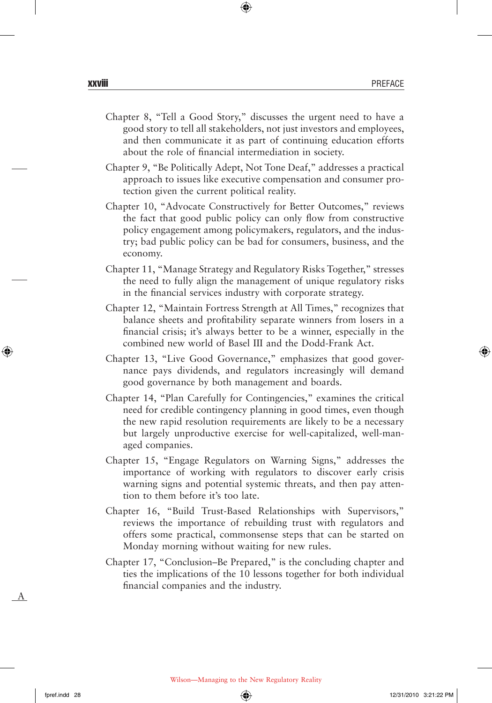Chapter 8, "Tell a Good Story," discusses the urgent need to have a good story to tell all stakeholders, not just investors and employees, and then communicate it as part of continuing education efforts about the role of financial intermediation in society.

 $\textcircled{\scriptsize{+}}$ 

- Chapter 9, "Be Politically Adept, Not Tone Deaf," addresses a practical approach to issues like executive compensation and consumer protection given the current political reality.
- Chapter 10, "Advocate Constructively for Better Outcomes," reviews the fact that good public policy can only flow from constructive policy engagement among policymakers, regulators, and the industry; bad public policy can be bad for consumers, business, and the economy.
- Chapter 11, "Manage Strategy and Regulatory Risks Together," stresses the need to fully align the management of unique regulatory risks in the financial services industry with corporate strategy.
- Chapter 12, "Maintain Fortress Strength at All Times," recognizes that balance sheets and profitability separate winners from losers in a financial crisis; it's always better to be a winner, especially in the combined new world of Basel III and the Dodd-Frank Act.
- Chapter 13, "Live Good Governance," emphasizes that good governance pays dividends, and regulators increasingly will demand good governance by both management and boards.
- Chapter 14, "Plan Carefully for Contingencies," examines the critical need for credible contingency planning in good times, even though the new rapid resolution requirements are likely to be a necessary but largely unproductive exercise for well-capitalized, well-managed companies.
- Chapter 15, "Engage Regulators on Warning Signs," addresses the importance of working with regulators to discover early crisis warning signs and potential systemic threats, and then pay attention to them before it's too late.
- Chapter 16, "Build Trust-Based Relationships with Supervisors," reviews the importance of rebuilding trust with regulators and offers some practical, commonsense steps that can be started on Monday morning without waiting for new rules.
- Chapter 17, "Conclusion–Be Prepared," is the concluding chapter and ties the implications of the 10 lessons together for both individual financial companies and the industry.

A

⊕

↔

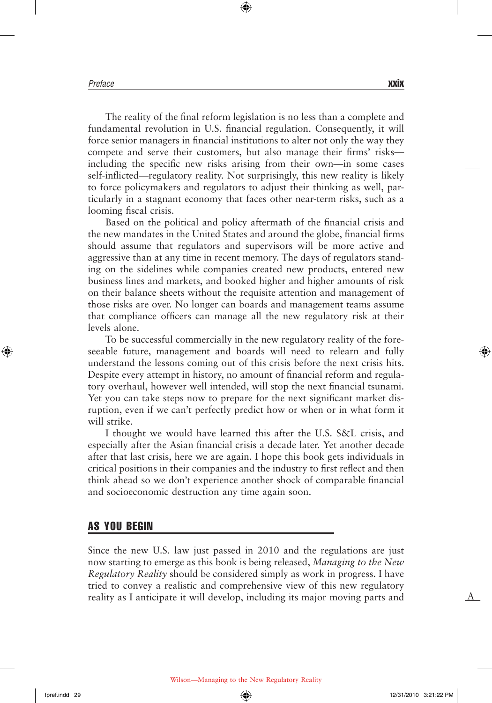## *Preface* xxix

The reality of the final reform legislation is no less than a complete and fundamental revolution in U.S. financial regulation. Consequently, it will force senior managers in financial institutions to alter not only the way they compete and serve their customers, but also manage their firms' risks including the specific new risks arising from their own—in some cases self-inflicted—regulatory reality. Not surprisingly, this new reality is likely to force policymakers and regulators to adjust their thinking as well, particularly in a stagnant economy that faces other near-term risks, such as a looming fiscal crisis.

⊕

Based on the political and policy aftermath of the financial crisis and the new mandates in the United States and around the globe, financial firms should assume that regulators and supervisors will be more active and aggressive than at any time in recent memory. The days of regulators standing on the sidelines while companies created new products, entered new business lines and markets, and booked higher and higher amounts of risk on their balance sheets without the requisite attention and management of those risks are over. No longer can boards and management teams assume that compliance officers can manage all the new regulatory risk at their levels alone.

To be successful commercially in the new regulatory reality of the foreseeable future, management and boards will need to relearn and fully understand the lessons coming out of this crisis before the next crisis hits. Despite every attempt in history, no amount of financial reform and regulatory overhaul, however well intended, will stop the next financial tsunami. Yet you can take steps now to prepare for the next significant market disruption, even if we can't perfectly predict how or when or in what form it will strike.

I thought we would have learned this after the U.S. S&L crisis, and especially after the Asian financial crisis a decade later. Yet another decade after that last crisis, here we are again. I hope this book gets individuals in critical positions in their companies and the industry to first reflect and then think ahead so we don't experience another shock of comparable financial and socioeconomic destruction any time again soon.

#### As You Begin

Since the new U.S. law just passed in 2010 and the regulations are just now starting to emerge as this book is being released, *Managing to the New Regulatory Reality* should be considered simply as work in progress. I have tried to convey a realistic and comprehensive view of this new regulatory reality as I anticipate it will develop, including its major moving parts and

⊕

 $\mathbf{A}$